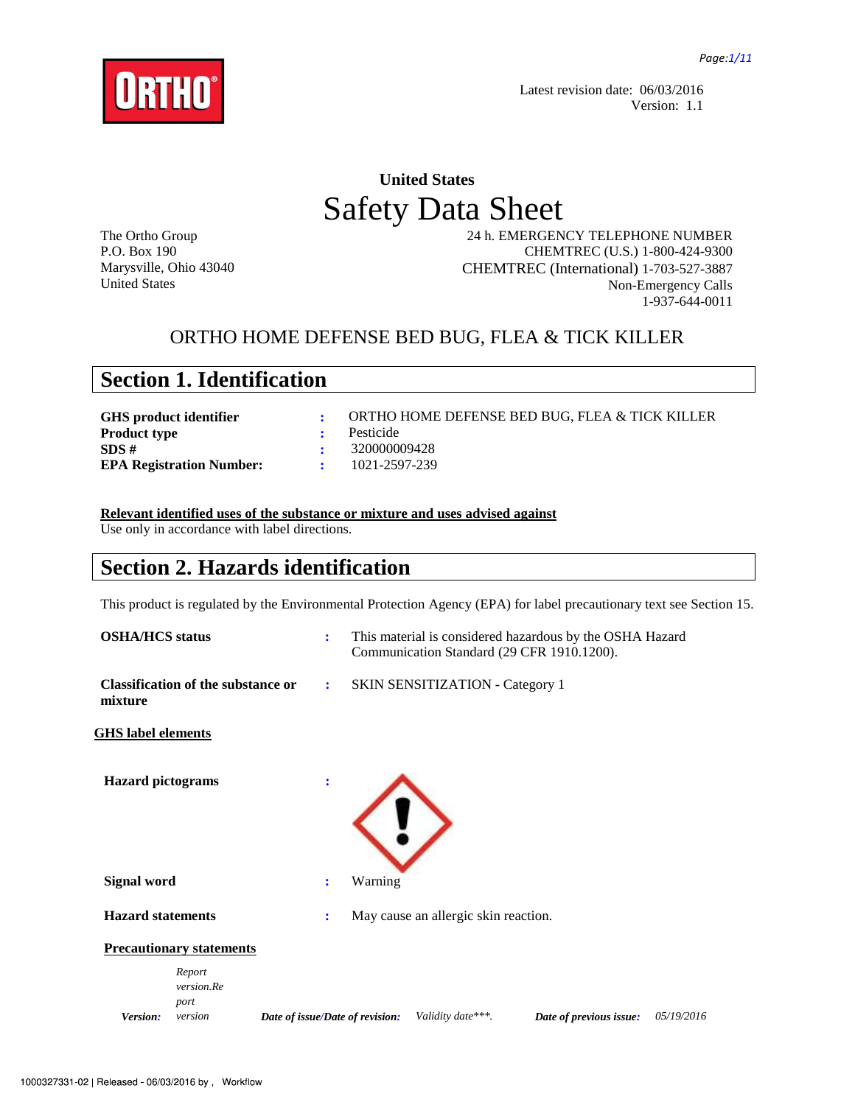

Latest revision date: 06/03/2016 Version: 1.1

# **United States**  Safety Data Sheet

The Ortho Group P.O. Box 190 Marysville, Ohio 43040 United States

 24 h. EMERGENCY TELEPHONE NUMBER CHEMTREC (U.S.) 1-800-424-9300 CHEMTREC (International) 1-703-527-3887 Non-Emergency Calls 1-937-644-0011

### ORTHO HOME DEFENSE BED BUG, FLEA & TICK KILLER

|  |  | <b>Section 1. Identification</b> |
|--|--|----------------------------------|
|--|--|----------------------------------|

| ORTHO HOME DEFENSE BED BUG, FLEA & TICK KILLER |
|------------------------------------------------|
|                                                |
| - 320000009428                                 |
| 1021-2597-239                                  |
|                                                |

### **Relevant identified uses of the substance or mixture and uses advised against**

Use only in accordance with label directions.

### **Section 2. Hazards identification**

This product is regulated by the Environmental Protection Agency (EPA) for label precautionary text see Section 15.

| <b>OSHA/HCS</b> status    |                                           | $\ddot{\cdot}$                  |         |                                        | This material is considered hazardous by the OSHA Hazard<br>Communication Standard (29 CFR 1910.1200). |            |
|---------------------------|-------------------------------------------|---------------------------------|---------|----------------------------------------|--------------------------------------------------------------------------------------------------------|------------|
| mixture                   | <b>Classification of the substance or</b> | ÷                               |         | <b>SKIN SENSITIZATION - Category 1</b> |                                                                                                        |            |
| <b>GHS</b> label elements |                                           |                                 |         |                                        |                                                                                                        |            |
| <b>Hazard</b> pictograms  |                                           |                                 |         |                                        |                                                                                                        |            |
| <b>Signal word</b>        |                                           | $\ddot{\cdot}$                  | Warning |                                        |                                                                                                        |            |
| <b>Hazard statements</b>  |                                           | ÷                               |         | May cause an allergic skin reaction.   |                                                                                                        |            |
|                           | <b>Precautionary statements</b>           |                                 |         |                                        |                                                                                                        |            |
| Version:                  | Report<br>version.Re<br>port<br>version   | Date of issue/Date of revision: |         | Validity date***.                      | Date of previous issue:                                                                                | 05/19/2016 |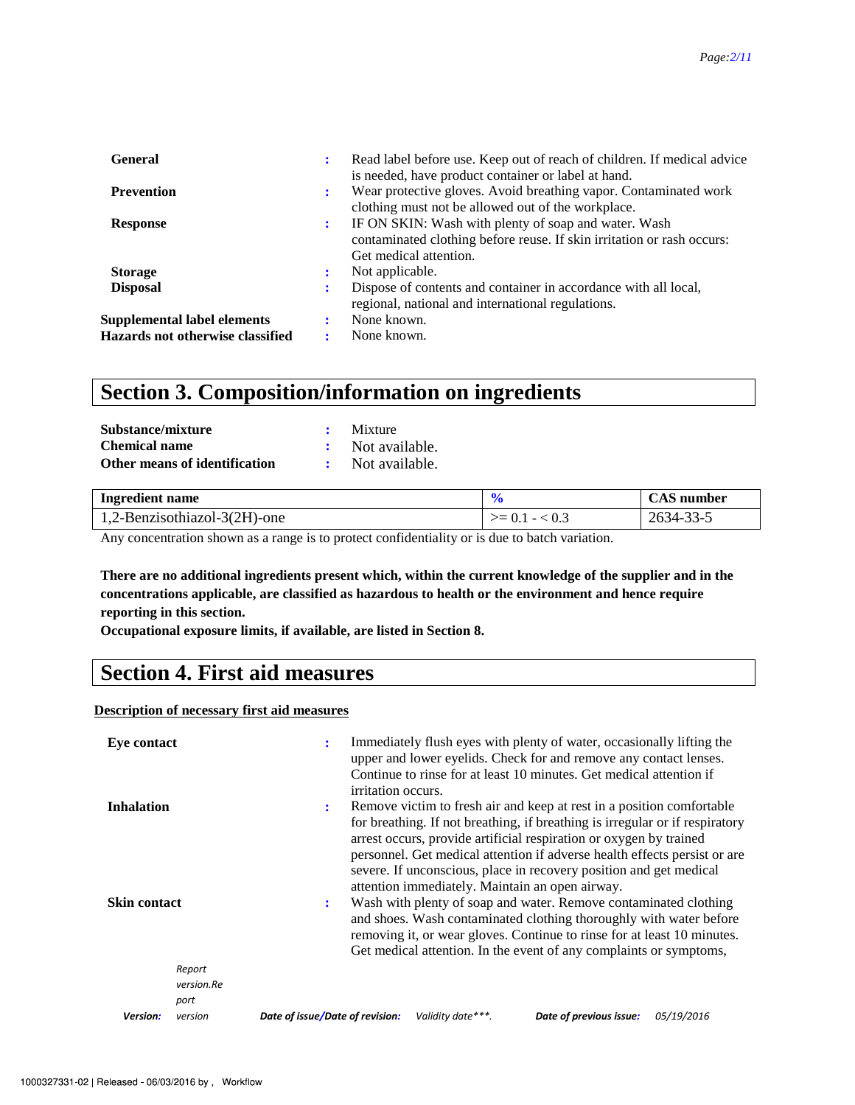| <b>General</b>                                                  | ÷ | Read label before use. Keep out of reach of children. If medical advice<br>is needed, have product container or label at hand.                           |
|-----------------------------------------------------------------|---|----------------------------------------------------------------------------------------------------------------------------------------------------------|
| <b>Prevention</b>                                               | : | Wear protective gloves. Avoid breathing vapor. Contaminated work<br>clothing must not be allowed out of the workplace.                                   |
| <b>Response</b>                                                 | : | IF ON SKIN: Wash with plenty of soap and water. Wash<br>contaminated clothing before reuse. If skin irritation or rash occurs:<br>Get medical attention. |
| <b>Storage</b>                                                  | ۰ | Not applicable.                                                                                                                                          |
| <b>Disposal</b>                                                 | ÷ | Dispose of contents and container in accordance with all local,<br>regional, national and international regulations.                                     |
| Supplemental label elements<br>Hazards not otherwise classified |   | None known.<br>None known.                                                                                                                               |

### **Section 3. Composition/information on ingredients**

| Substance/mixture             | $\cdot$ Mixture  |
|-------------------------------|------------------|
| Chemical name                 | : Not available. |
| Other means of identification | : Not available. |

| <b>Ingredient name</b>       |                  | <b>CAS</b> number |
|------------------------------|------------------|-------------------|
| 1,2-Benzisothiazol-3(2H)-one | $>= 0.1 - < 0.3$ | 2634-33-5         |

Any concentration shown as a range is to protect confidentiality or is due to batch variation.

**There are no additional ingredients present which, within the current knowledge of the supplier and in the concentrations applicable, are classified as hazardous to health or the environment and hence require reporting in this section.** 

**Occupational exposure limits, if available, are listed in Section 8.**

### **Section 4. First aid measures**

#### **Description of necessary first aid measures**

| <b>Eye contact</b>           | Immediately flush eyes with plenty of water, occasionally lifting the<br>÷<br>upper and lower eyelids. Check for and remove any contact lenses.<br>Continue to rinse for at least 10 minutes. Get medical attention if<br>irritation occurs.                                                                                                                                                                                           |
|------------------------------|----------------------------------------------------------------------------------------------------------------------------------------------------------------------------------------------------------------------------------------------------------------------------------------------------------------------------------------------------------------------------------------------------------------------------------------|
| <b>Inhalation</b>            | Remove victim to fresh air and keep at rest in a position comfortable<br>÷<br>for breathing. If not breathing, if breathing is irregular or if respiratory<br>arrest occurs, provide artificial respiration or oxygen by trained<br>personnel. Get medical attention if adverse health effects persist or are<br>severe. If unconscious, place in recovery position and get medical<br>attention immediately. Maintain an open airway. |
| <b>Skin contact</b>          | Wash with plenty of soap and water. Remove contaminated clothing<br>÷<br>and shoes. Wash contaminated clothing thoroughly with water before<br>removing it, or wear gloves. Continue to rinse for at least 10 minutes.<br>Get medical attention. In the event of any complaints or symptoms,                                                                                                                                           |
| Report<br>version.Re<br>port |                                                                                                                                                                                                                                                                                                                                                                                                                                        |
| Version:<br>version          | Date of issue/Date of revision:<br>Date of previous issue:<br>Validity date***.<br><i>05/19/2016</i>                                                                                                                                                                                                                                                                                                                                   |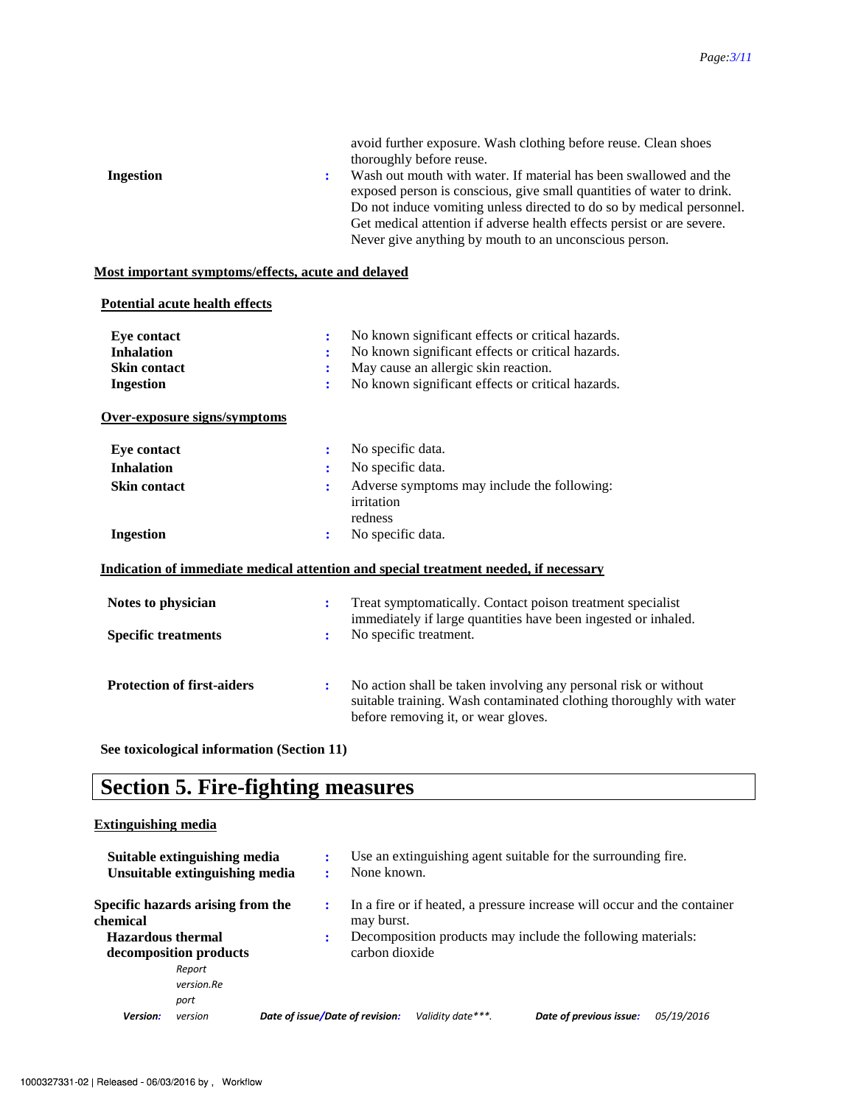|                  | avoid further exposure. Wash clothing before reuse. Clean shoes                                                                                                                                                                                                                                                                                         |
|------------------|---------------------------------------------------------------------------------------------------------------------------------------------------------------------------------------------------------------------------------------------------------------------------------------------------------------------------------------------------------|
|                  | thoroughly before reuse.                                                                                                                                                                                                                                                                                                                                |
| <b>Ingestion</b> | Wash out mouth with water. If material has been swallowed and the<br>exposed person is conscious, give small quantities of water to drink.<br>Do not induce vomiting unless directed to do so by medical personnel.<br>Get medical attention if adverse health effects persist or are severe.<br>Never give anything by mouth to an unconscious person. |
|                  |                                                                                                                                                                                                                                                                                                                                                         |

### **Most important symptoms/effects, acute and delayed**

#### **Potential acute health effects**

| Eye contact                       | ÷                    | No known significant effects or critical hazards.                                                                                                                             |
|-----------------------------------|----------------------|-------------------------------------------------------------------------------------------------------------------------------------------------------------------------------|
| <b>Inhalation</b>                 | ÷                    | No known significant effects or critical hazards.                                                                                                                             |
| <b>Skin contact</b>               | ÷                    | May cause an allergic skin reaction.                                                                                                                                          |
| <b>Ingestion</b>                  | ÷                    | No known significant effects or critical hazards.                                                                                                                             |
| Over-exposure signs/symptoms      |                      |                                                                                                                                                                               |
| <b>Eye contact</b>                | ÷                    | No specific data.                                                                                                                                                             |
| <b>Inhalation</b>                 | :                    | No specific data.                                                                                                                                                             |
| <b>Skin contact</b>               | ÷                    | Adverse symptoms may include the following:<br>irritation                                                                                                                     |
|                                   |                      | redness                                                                                                                                                                       |
| <b>Ingestion</b>                  | ÷                    | No specific data.                                                                                                                                                             |
|                                   |                      | Indication of immediate medical attention and special treatment needed, if necessary                                                                                          |
| Notes to physician                | ÷                    | Treat symptomatically. Contact poison treatment specialist<br>immediately if large quantities have been ingested or inhaled.                                                  |
| <b>Specific treatments</b>        | ÷                    | No specific treatment.                                                                                                                                                        |
| <b>Protection of first-aiders</b> | $\ddot{\phantom{a}}$ | No action shall be taken involving any personal risk or without<br>suitable training. Wash contaminated clothing thoroughly with water<br>before removing it, or wear gloves. |
|                                   |                      |                                                                                                                                                                               |

**See toxicological information (Section 11)** 

# **Section 5. Fire-fighting measures**

### **Extinguishing media**

|                          | Suitable extinguishing media<br>Unsuitable extinguishing media |                                 | None known.    |                   | Use an extinguishing agent suitable for the surrounding fire.            |            |
|--------------------------|----------------------------------------------------------------|---------------------------------|----------------|-------------------|--------------------------------------------------------------------------|------------|
| chemical                 | Specific hazards arising from the                              |                                 | may burst.     |                   | In a fire or if heated, a pressure increase will occur and the container |            |
| <b>Hazardous thermal</b> | decomposition products                                         | ÷                               | carbon dioxide |                   | Decomposition products may include the following materials:              |            |
|                          | Report<br>version.Re<br>port                                   |                                 |                |                   |                                                                          |            |
| <b>Version:</b>          | version                                                        | Date of issue/Date of revision: |                | Validity date***. | Date of previous issue:                                                  | 05/19/2016 |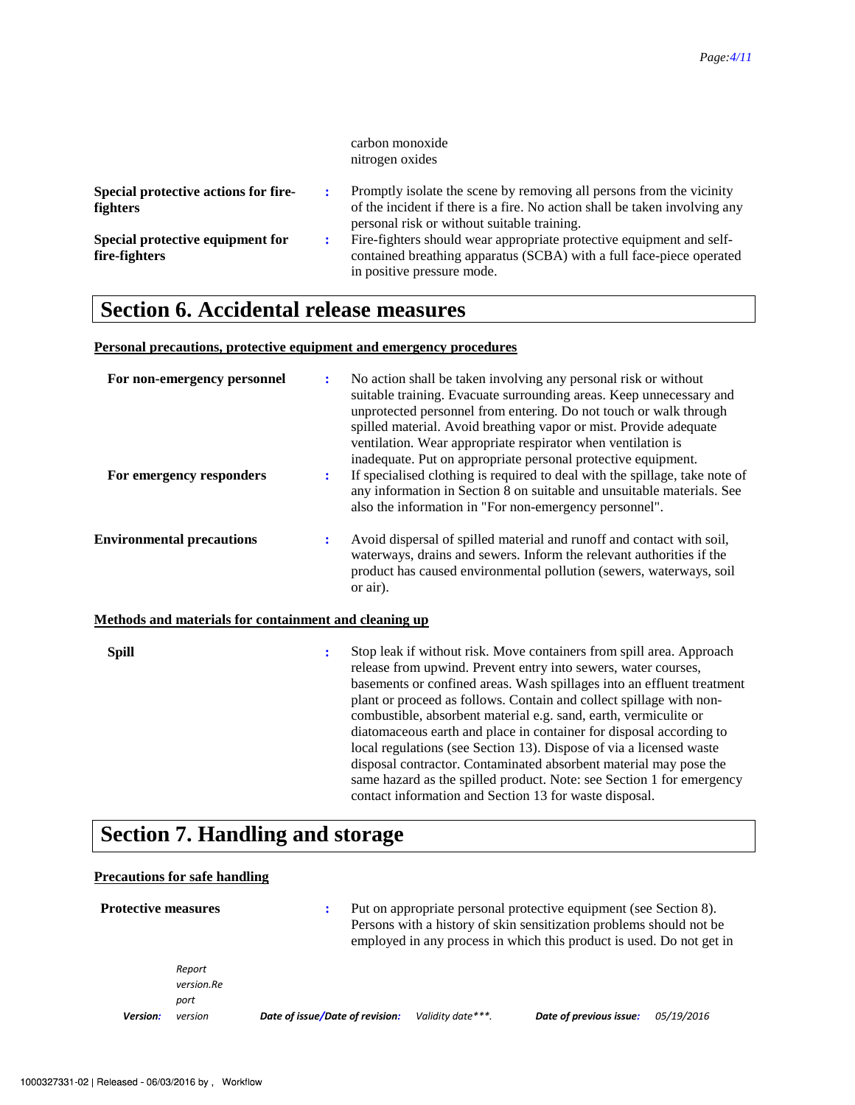|                                                         | carbon monoxide<br>nitrogen oxides                                                                                                                                                                |
|---------------------------------------------------------|---------------------------------------------------------------------------------------------------------------------------------------------------------------------------------------------------|
| Special protective actions for fire-<br><b>fighters</b> | Promptly isolate the scene by removing all persons from the vicinity<br>of the incident if there is a fire. No action shall be taken involving any<br>personal risk or without suitable training. |
| Special protective equipment for<br>fire-fighters       | Fire-fighters should wear appropriate protective equipment and self-<br>contained breathing apparatus (SCBA) with a full face-piece operated<br>in positive pressure mode.                        |

# **Section 6. Accidental release measures**

#### **Personal precautions, protective equipment and emergency procedures**

| For non-emergency personnel                                                               | $\ddot{\cdot}$ | No action shall be taken involving any personal risk or without<br>suitable training. Evacuate surrounding areas. Keep unnecessary and<br>unprotected personnel from entering. Do not touch or walk through<br>spilled material. Avoid breathing vapor or mist. Provide adequate<br>ventilation. Wear appropriate respirator when ventilation is<br>inadequate. Put on appropriate personal protective equipment.                                                                                                                                                                                                                                                                                                 |
|-------------------------------------------------------------------------------------------|----------------|-------------------------------------------------------------------------------------------------------------------------------------------------------------------------------------------------------------------------------------------------------------------------------------------------------------------------------------------------------------------------------------------------------------------------------------------------------------------------------------------------------------------------------------------------------------------------------------------------------------------------------------------------------------------------------------------------------------------|
| For emergency responders                                                                  | $\ddot{\cdot}$ | If specialised clothing is required to deal with the spillage, take note of<br>any information in Section 8 on suitable and unsuitable materials. See<br>also the information in "For non-emergency personnel".                                                                                                                                                                                                                                                                                                                                                                                                                                                                                                   |
| <b>Environmental precautions</b>                                                          | ፡              | Avoid dispersal of spilled material and runoff and contact with soil,<br>waterways, drains and sewers. Inform the relevant authorities if the<br>product has caused environmental pollution (sewers, waterways, soil<br>or air).                                                                                                                                                                                                                                                                                                                                                                                                                                                                                  |
| Methods and materials for containment and cleaning up                                     |                |                                                                                                                                                                                                                                                                                                                                                                                                                                                                                                                                                                                                                                                                                                                   |
| <b>Spill</b>                                                                              | $\ddot{\cdot}$ | Stop leak if without risk. Move containers from spill area. Approach<br>release from upwind. Prevent entry into sewers, water courses,<br>basements or confined areas. Wash spillages into an effluent treatment<br>plant or proceed as follows. Contain and collect spillage with non-<br>combustible, absorbent material e.g. sand, earth, vermiculite or<br>diatomaceous earth and place in container for disposal according to<br>local regulations (see Section 13). Dispose of via a licensed waste<br>disposal contractor. Contaminated absorbent material may pose the<br>same hazard as the spilled product. Note: see Section 1 for emergency<br>contact information and Section 13 for waste disposal. |
| $\mathcal{C}_{\text{out}}$ on $\pi$ H <sub>am</sub> $\mathbf{H}_{\text{out}}$ and the set |                |                                                                                                                                                                                                                                                                                                                                                                                                                                                                                                                                                                                                                                                                                                                   |

### **Section 7. Handling and storage**

**Precautions for safe handling** 

| <b>Protective measures</b> |                                         | ÷                               |                   | Put on appropriate personal protective equipment (see Section 8).<br>Persons with a history of skin sensitization problems should not be<br>employed in any process in which this product is used. Do not get in |            |
|----------------------------|-----------------------------------------|---------------------------------|-------------------|------------------------------------------------------------------------------------------------------------------------------------------------------------------------------------------------------------------|------------|
| <b>Version:</b>            | Report<br>version.Re<br>port<br>version | Date of issue/Date of revision: | Validity date***. | Date of previous issue:                                                                                                                                                                                          | 05/19/2016 |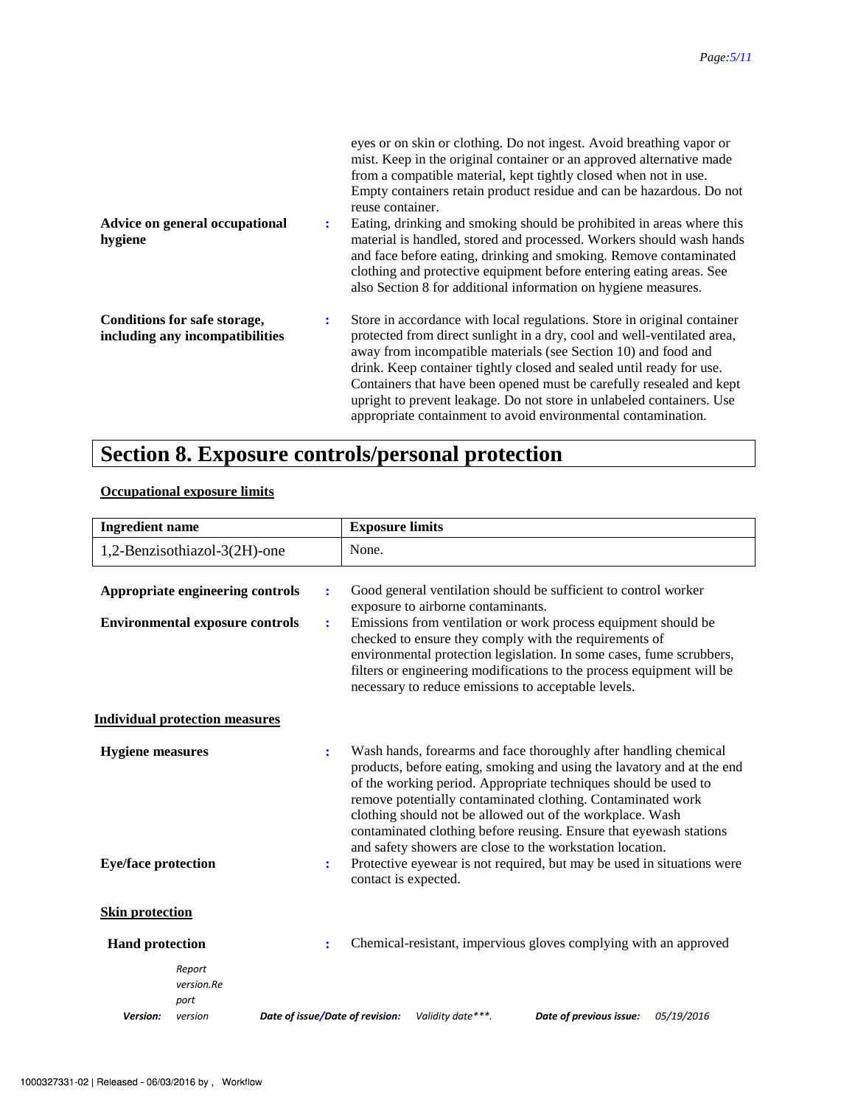| Advice on general occupational<br>hygiene                       | ÷ | eyes or on skin or clothing. Do not ingest. Avoid breathing vapor or<br>mist. Keep in the original container or an approved alternative made<br>from a compatible material, kept tightly closed when not in use.<br>Empty containers retain product residue and can be hazardous. Do not<br>reuse container.<br>Eating, drinking and smoking should be prohibited in areas where this<br>material is handled, stored and processed. Workers should wash hands<br>and face before eating, drinking and smoking. Remove contaminated<br>clothing and protective equipment before entering eating areas. See<br>also Section 8 for additional information on hygiene measures. |
|-----------------------------------------------------------------|---|-----------------------------------------------------------------------------------------------------------------------------------------------------------------------------------------------------------------------------------------------------------------------------------------------------------------------------------------------------------------------------------------------------------------------------------------------------------------------------------------------------------------------------------------------------------------------------------------------------------------------------------------------------------------------------|
| Conditions for safe storage,<br>including any incompatibilities | : | Store in accordance with local regulations. Store in original container<br>protected from direct sunlight in a dry, cool and well-ventilated area,<br>away from incompatible materials (see Section 10) and food and<br>drink. Keep container tightly closed and sealed until ready for use.<br>Containers that have been opened must be carefully resealed and kept<br>upright to prevent leakage. Do not store in unlabeled containers. Use<br>appropriate containment to avoid environmental contamination.                                                                                                                                                              |

# **Section 8. Exposure controls/personal protection**

### **Occupational exposure limits**

| <b>Ingredient name</b>                                                       |                                        |                                 | <b>Exposure limits</b>                                                                                                                                                                                                                                                                                                                                                                                                                                                                                                                                                                                                                                                                                                                                                                                                                                                                                                                                                                 |                                    |                                                                 |            |
|------------------------------------------------------------------------------|----------------------------------------|---------------------------------|----------------------------------------------------------------------------------------------------------------------------------------------------------------------------------------------------------------------------------------------------------------------------------------------------------------------------------------------------------------------------------------------------------------------------------------------------------------------------------------------------------------------------------------------------------------------------------------------------------------------------------------------------------------------------------------------------------------------------------------------------------------------------------------------------------------------------------------------------------------------------------------------------------------------------------------------------------------------------------------|------------------------------------|-----------------------------------------------------------------|------------|
|                                                                              | 1,2-Benzisothiazol-3(2H)-one           |                                 | None.                                                                                                                                                                                                                                                                                                                                                                                                                                                                                                                                                                                                                                                                                                                                                                                                                                                                                                                                                                                  |                                    |                                                                 |            |
|                                                                              | Appropriate engineering controls       | $\ddot{\cdot}$                  |                                                                                                                                                                                                                                                                                                                                                                                                                                                                                                                                                                                                                                                                                                                                                                                                                                                                                                                                                                                        | exposure to airborne contaminants. | Good general ventilation should be sufficient to control worker |            |
|                                                                              | <b>Environmental exposure controls</b> | ÷                               |                                                                                                                                                                                                                                                                                                                                                                                                                                                                                                                                                                                                                                                                                                                                                                                                                                                                                                                                                                                        |                                    |                                                                 |            |
|                                                                              | <b>Individual protection measures</b>  |                                 |                                                                                                                                                                                                                                                                                                                                                                                                                                                                                                                                                                                                                                                                                                                                                                                                                                                                                                                                                                                        |                                    |                                                                 |            |
| <b>Hygiene</b> measures<br>$\ddot{\cdot}$<br><b>Eye/face protection</b><br>÷ |                                        |                                 | Emissions from ventilation or work process equipment should be<br>checked to ensure they comply with the requirements of<br>environmental protection legislation. In some cases, fume scrubbers,<br>filters or engineering modifications to the process equipment will be<br>necessary to reduce emissions to acceptable levels.<br>Wash hands, forearms and face thoroughly after handling chemical<br>products, before eating, smoking and using the lavatory and at the end<br>of the working period. Appropriate techniques should be used to<br>remove potentially contaminated clothing. Contaminated work<br>clothing should not be allowed out of the workplace. Wash<br>contaminated clothing before reusing. Ensure that eyewash stations<br>and safety showers are close to the workstation location.<br>Protective eyewear is not required, but may be used in situations were<br>contact is expected.<br>Chemical-resistant, impervious gloves complying with an approved |                                    |                                                                 |            |
|                                                                              |                                        |                                 |                                                                                                                                                                                                                                                                                                                                                                                                                                                                                                                                                                                                                                                                                                                                                                                                                                                                                                                                                                                        |                                    |                                                                 |            |
| <b>Skin protection</b>                                                       |                                        |                                 |                                                                                                                                                                                                                                                                                                                                                                                                                                                                                                                                                                                                                                                                                                                                                                                                                                                                                                                                                                                        |                                    |                                                                 |            |
| <b>Hand protection</b>                                                       |                                        | $\ddot{\cdot}$                  |                                                                                                                                                                                                                                                                                                                                                                                                                                                                                                                                                                                                                                                                                                                                                                                                                                                                                                                                                                                        |                                    |                                                                 |            |
|                                                                              | Report<br>version.Re<br>port           |                                 |                                                                                                                                                                                                                                                                                                                                                                                                                                                                                                                                                                                                                                                                                                                                                                                                                                                                                                                                                                                        |                                    |                                                                 |            |
| Version:                                                                     | version                                | Date of issue/Date of revision: |                                                                                                                                                                                                                                                                                                                                                                                                                                                                                                                                                                                                                                                                                                                                                                                                                                                                                                                                                                                        | Validity date***.                  | Date of previous issue:                                         | 05/19/2016 |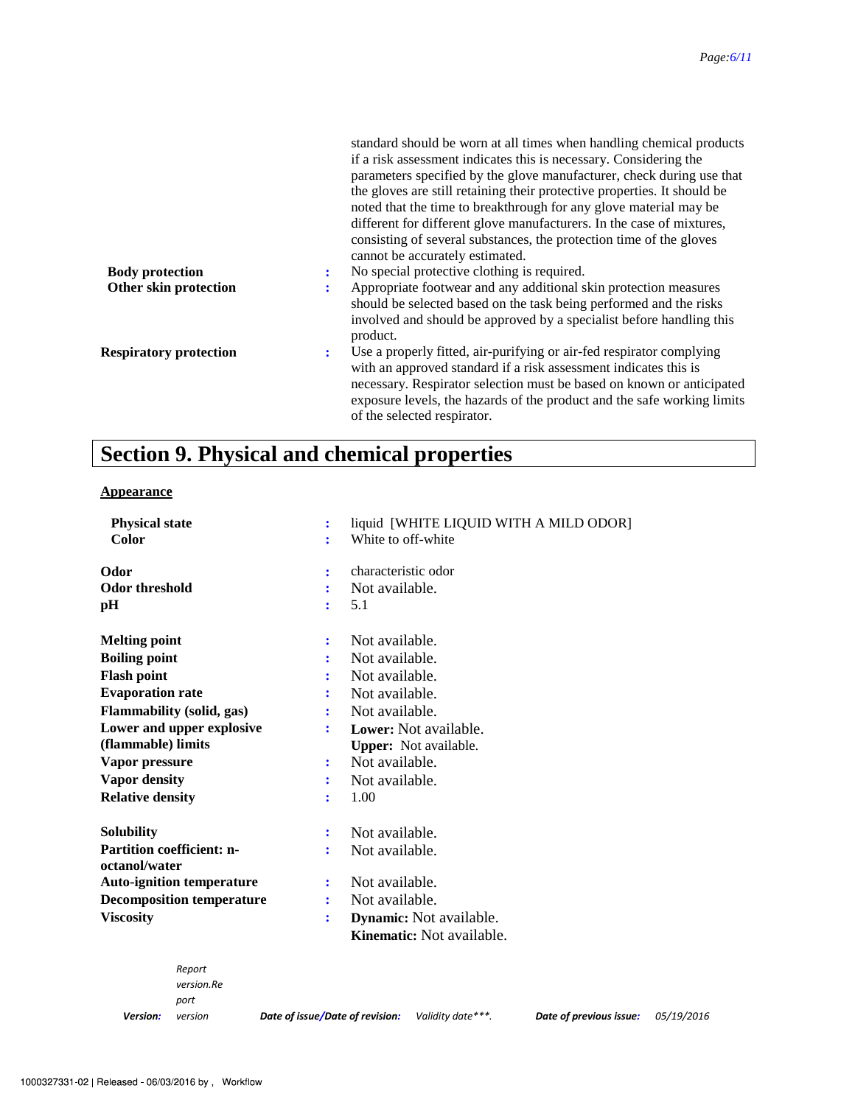|                               |   | standard should be worn at all times when handling chemical products<br>if a risk assessment indicates this is necessary. Considering the<br>parameters specified by the glove manufacturer, check during use that<br>the gloves are still retaining their protective properties. It should be<br>noted that the time to breakthrough for any glove material may be<br>different for different glove manufacturers. In the case of mixtures,<br>consisting of several substances, the protection time of the gloves<br>cannot be accurately estimated. |
|-------------------------------|---|--------------------------------------------------------------------------------------------------------------------------------------------------------------------------------------------------------------------------------------------------------------------------------------------------------------------------------------------------------------------------------------------------------------------------------------------------------------------------------------------------------------------------------------------------------|
| <b>Body protection</b>        |   | No special protective clothing is required.                                                                                                                                                                                                                                                                                                                                                                                                                                                                                                            |
| Other skin protection         | ٠ | Appropriate footwear and any additional skin protection measures<br>should be selected based on the task being performed and the risks<br>involved and should be approved by a specialist before handling this<br>product.                                                                                                                                                                                                                                                                                                                             |
| <b>Respiratory protection</b> | ÷ | Use a properly fitted, air-purifying or air-fed respirator complying<br>with an approved standard if a risk assessment indicates this is<br>necessary. Respirator selection must be based on known or anticipated<br>exposure levels, the hazards of the product and the safe working limits<br>of the selected respirator.                                                                                                                                                                                                                            |

# **Section 9. Physical and chemical properties**

### **Appearance**

| <b>Physical state</b>            | liquid [WHITE LIQUID WITH A MILD ODOR]<br>÷ |
|----------------------------------|---------------------------------------------|
| Color                            | White to off-white<br>÷                     |
| Odor                             | characteristic odor<br>÷                    |
| <b>Odor threshold</b>            | Not available.                              |
| pH                               | 5.1<br>÷                                    |
| <b>Melting point</b>             | Not available.<br>:                         |
| <b>Boiling point</b>             | Not available.                              |
| <b>Flash point</b>               | Not available.                              |
| <b>Evaporation rate</b>          | Not available.                              |
| Flammability (solid, gas)        | Not available.                              |
| Lower and upper explosive        | Lower: Not available.<br>÷                  |
| (flammable) limits               | <b>Upper:</b> Not available.                |
| Vapor pressure                   | Not available.<br>÷                         |
| <b>Vapor density</b>             | Not available.<br>÷                         |
| <b>Relative density</b>          | 1.00                                        |
| <b>Solubility</b>                | Not available.<br>÷                         |
| <b>Partition coefficient: n-</b> | Not available.                              |
| octanol/water                    |                                             |
| <b>Auto-ignition temperature</b> | Not available.<br>÷                         |
| <b>Decomposition temperature</b> | Not available.<br>÷                         |
| <b>Viscosity</b>                 | Dynamic: Not available.<br>$\ddot{\cdot}$   |
|                                  | <b>Kinematic:</b> Not available.            |
| Report                           |                                             |
| version.Re                       |                                             |
| port                             |                                             |

*Version:*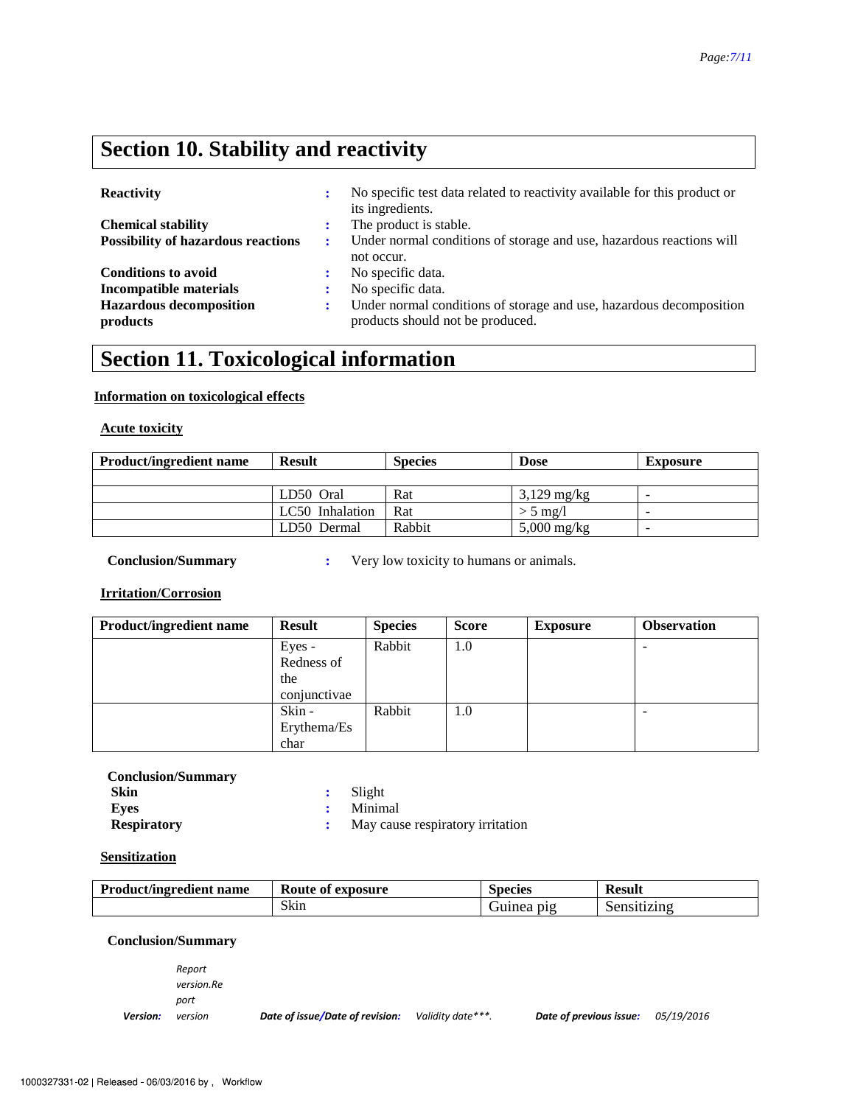## **Section 10. Stability and reactivity**

| <b>Reactivity</b>                          | ÷ | No specific test data related to reactivity available for this product or<br>its ingredients.           |
|--------------------------------------------|---|---------------------------------------------------------------------------------------------------------|
| <b>Chemical stability</b>                  |   | The product is stable.                                                                                  |
| <b>Possibility of hazardous reactions</b>  | ÷ | Under normal conditions of storage and use, hazardous reactions will<br>not occur.                      |
| <b>Conditions to avoid</b>                 |   | No specific data.                                                                                       |
| Incompatible materials                     |   | No specific data.                                                                                       |
| <b>Hazardous decomposition</b><br>products | ÷ | Under normal conditions of storage and use, hazardous decomposition<br>products should not be produced. |

# **Section 11. Toxicological information**

### **Information on toxicological effects**

**Acute toxicity**

| <b>Product/ingredient name</b> | <b>Result</b>   | <b>Species</b> | <b>Dose</b>   | <b>Exposure</b>          |
|--------------------------------|-----------------|----------------|---------------|--------------------------|
|                                |                 |                |               |                          |
|                                | LD50 Oral       | Rat            | $3,129$ mg/kg | -                        |
|                                | LC50 Inhalation | Rat            | $> 5$ mg/l    | $\overline{\phantom{0}}$ |
|                                | LD50 Dermal     | Rabbit         | $5,000$ mg/kg | $\overline{\phantom{0}}$ |

**Conclusion/Summary : Very low toxicity to humans or animals.** 

**Irritation/Corrosion**

| <b>Product/ingredient name</b> | <b>Result</b> | <b>Species</b> | <b>Score</b> | <b>Exposure</b> | <b>Observation</b> |
|--------------------------------|---------------|----------------|--------------|-----------------|--------------------|
|                                | Eyes -        | Rabbit         | 1.0          |                 |                    |
|                                | Redness of    |                |              |                 |                    |
|                                | the           |                |              |                 |                    |
|                                | conjunctivae  |                |              |                 |                    |
|                                | Skin -        | Rabbit         | 1.0          |                 |                    |
|                                | Erythema/Es   |                |              |                 |                    |
|                                | char          |                |              |                 |                    |

| <b>Conclusion/Summary</b> |
|---------------------------|
| Skin                      |
| Eves                      |
| <b>Respiratory</b>        |

**:** Slight

**:** Minimal

**:** May cause respiratory irritation

### **Sensitization**

| <b>Product/ingredient name</b> | exposure<br>Route of |               | <b>Result</b> |
|--------------------------------|----------------------|---------------|---------------|
|                                | Skin                 | D1Q<br>Guinea | Sensitizing   |

#### **Conclusion/Summary**

*Version: Report version.Re port* 

*version Date of issue/Date of revision: Validity date\*\*\*. Date of previous issue: 05/19/2016*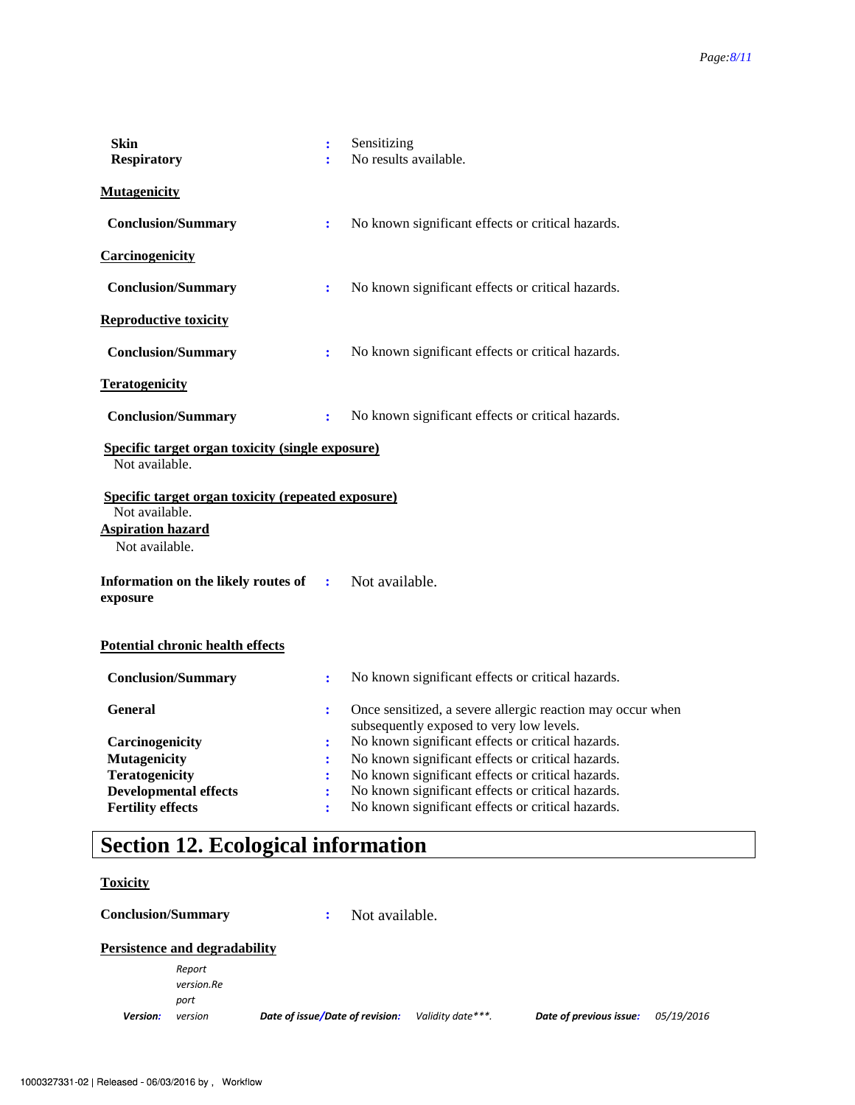| <b>Skin</b><br><b>Respiratory</b>                                    | ÷<br>÷               | Sensitizing<br>No results available.                                                                   |
|----------------------------------------------------------------------|----------------------|--------------------------------------------------------------------------------------------------------|
| <b>Mutagenicity</b>                                                  |                      |                                                                                                        |
| <b>Conclusion/Summary</b>                                            | $\ddot{\cdot}$       | No known significant effects or critical hazards.                                                      |
| Carcinogenicity                                                      |                      |                                                                                                        |
| <b>Conclusion/Summary</b>                                            | $\ddot{\cdot}$       | No known significant effects or critical hazards.                                                      |
| <b>Reproductive toxicity</b>                                         |                      |                                                                                                        |
| <b>Conclusion/Summary</b>                                            | ÷                    | No known significant effects or critical hazards.                                                      |
| <b>Teratogenicity</b>                                                |                      |                                                                                                        |
| <b>Conclusion/Summary</b>                                            | $\ddot{\cdot}$       | No known significant effects or critical hazards.                                                      |
| Specific target organ toxicity (single exposure)<br>Not available.   |                      |                                                                                                        |
| Specific target organ toxicity (repeated exposure)<br>Not available. |                      |                                                                                                        |
| <b>Aspiration hazard</b><br>Not available.                           |                      |                                                                                                        |
| Information on the likely routes of<br>exposure                      | $\ddot{\cdot}$       | Not available.                                                                                         |
| <b>Potential chronic health effects</b>                              |                      |                                                                                                        |
| <b>Conclusion/Summary</b>                                            | $\ddot{\cdot}$       | No known significant effects or critical hazards.                                                      |
| <b>General</b>                                                       | ÷                    | Once sensitized, a severe allergic reaction may occur when<br>subsequently exposed to very low levels. |
| Carcinogenicity                                                      | $\ddot{\cdot}$       | No known significant effects or critical hazards.                                                      |
| <b>Mutagenicity</b>                                                  | $\ddot{\phantom{a}}$ | No known significant effects or critical hazards.                                                      |
| <b>Teratogenicity</b>                                                | ÷                    | No known significant effects or critical hazards.                                                      |
| <b>Developmental effects</b>                                         | $\ddot{\cdot}$       | No known significant effects or critical hazards.                                                      |
| <b>Fertility effects</b>                                             | ÷                    | No known significant effects or critical hazards.                                                      |

# **Section 12. Ecological information**

#### **Toxicity**

**Conclusion/Summary :** Not available.

#### **Persistence and degradability**

*Version: Report version.Re port*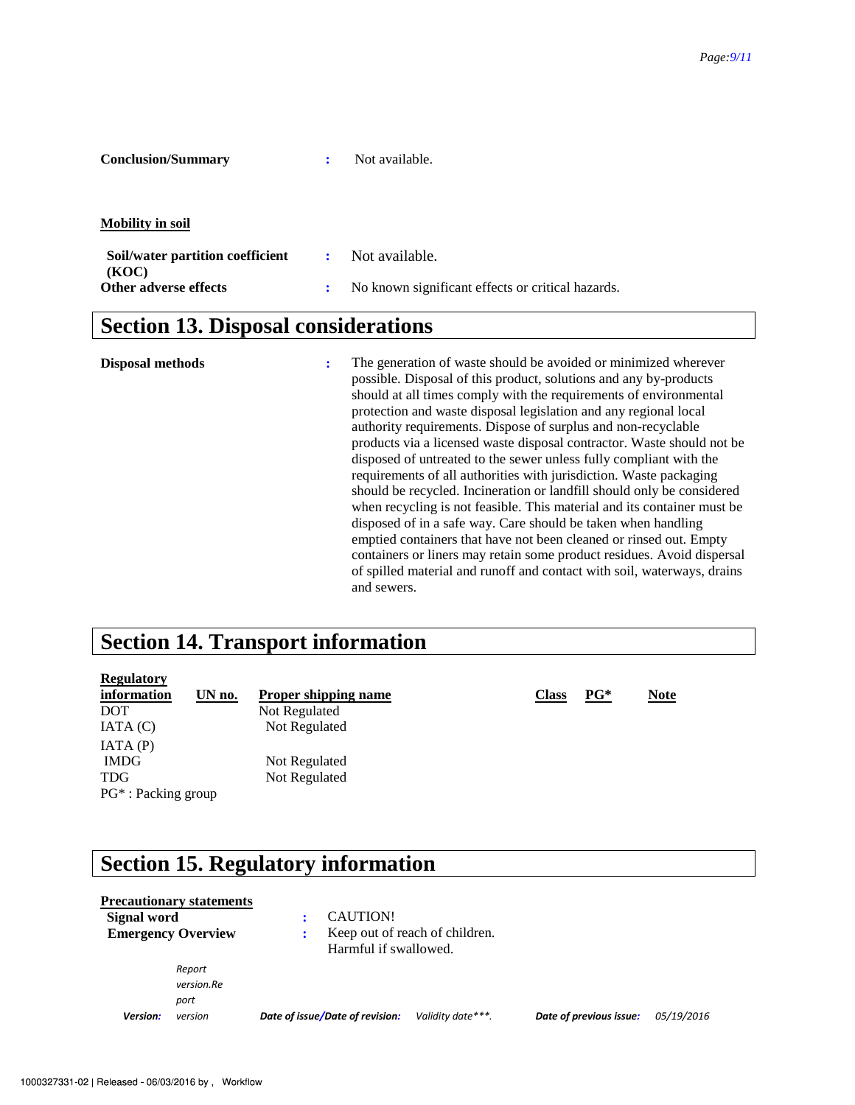| <b>Conclusion/Summary</b> |  | Not available. |
|---------------------------|--|----------------|
|---------------------------|--|----------------|

**Mobility in soil** 

| Soil/water partition coefficient<br>(KOC) | : Not available.                                  |
|-------------------------------------------|---------------------------------------------------|
| Other adverse effects                     | No known significant effects or critical hazards. |

### **Section 13. Disposal considerations**

**Disposal methods :** The generation of waste should be avoided or minimized wherever possible. Disposal of this product, solutions and any by-products should at all times comply with the requirements of environmental protection and waste disposal legislation and any regional local authority requirements. Dispose of surplus and non-recyclable products via a licensed waste disposal contractor. Waste should not be disposed of untreated to the sewer unless fully compliant with the requirements of all authorities with jurisdiction. Waste packaging should be recycled. Incineration or landfill should only be considered when recycling is not feasible. This material and its container must be disposed of in a safe way. Care should be taken when handling emptied containers that have not been cleaned or rinsed out. Empty containers or liners may retain some product residues. Avoid dispersal of spilled material and runoff and contact with soil, waterways, drains and sewers.

### **Section 14. Transport information**

| information            | UN no. | <b>Proper shipping name</b> | <b>Class</b> | $PG^*$ | <b>Note</b> |
|------------------------|--------|-----------------------------|--------------|--------|-------------|
| <b>DOT</b>             |        | Not Regulated               |              |        |             |
| IATA(C)                |        | Not Regulated               |              |        |             |
| IATA(P)                |        |                             |              |        |             |
| <b>IMDG</b>            |        | Not Regulated               |              |        |             |
| <b>TDG</b>             |        | Not Regulated               |              |        |             |
| $PG^*$ : Packing group |        |                             |              |        |             |

## **Section 15. Regulatory information**

|                           | <b>Precautionary statements</b> |                                 |                                |                         |            |
|---------------------------|---------------------------------|---------------------------------|--------------------------------|-------------------------|------------|
| Signal word               |                                 | CAUTION!                        |                                |                         |            |
| <b>Emergency Overview</b> |                                 | Harmful if swallowed.           | Keep out of reach of children. |                         |            |
|                           | Report                          |                                 |                                |                         |            |
|                           | version.Re                      |                                 |                                |                         |            |
|                           | port                            |                                 |                                |                         |            |
| Version:                  | version                         | Date of issue/Date of revision: | Validity date ***.             | Date of previous issue: | 05/19/2016 |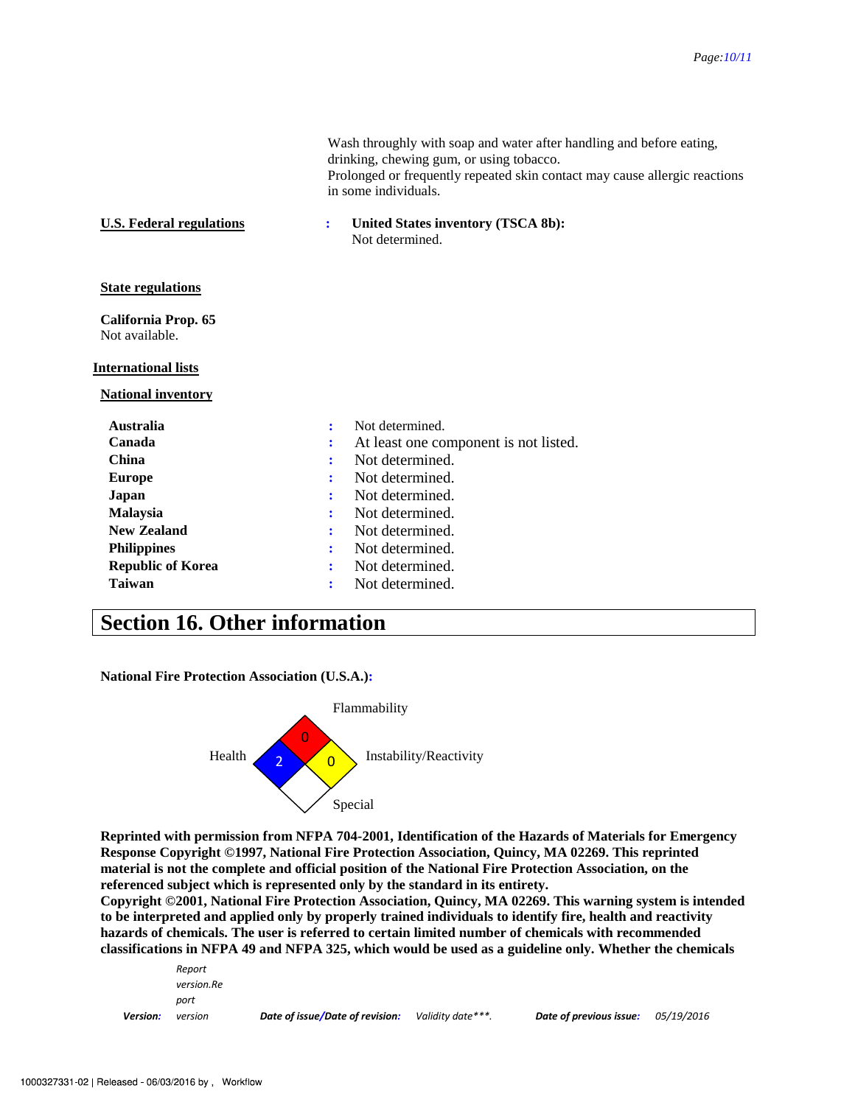|                                       |   | Wash throughly with soap and water after handling and before eating,<br>drinking, chewing gum, or using tobacco.<br>Prolonged or frequently repeated skin contact may cause allergic reactions<br>in some individuals. |  |  |  |
|---------------------------------------|---|------------------------------------------------------------------------------------------------------------------------------------------------------------------------------------------------------------------------|--|--|--|
| <b>U.S. Federal regulations</b>       |   | United States inventory (TSCA 8b):<br>Not determined.                                                                                                                                                                  |  |  |  |
| <b>State regulations</b>              |   |                                                                                                                                                                                                                        |  |  |  |
| California Prop. 65<br>Not available. |   |                                                                                                                                                                                                                        |  |  |  |
| <b>International lists</b>            |   |                                                                                                                                                                                                                        |  |  |  |
| <b>National inventory</b>             |   |                                                                                                                                                                                                                        |  |  |  |
| <b>Australia</b>                      | ÷ | Not determined.                                                                                                                                                                                                        |  |  |  |
| Canada                                |   | At least one component is not listed.                                                                                                                                                                                  |  |  |  |
| <b>China</b>                          |   | Not determined.                                                                                                                                                                                                        |  |  |  |
| <b>Europe</b>                         |   | Not determined.                                                                                                                                                                                                        |  |  |  |
| Japan                                 |   | Not determined.                                                                                                                                                                                                        |  |  |  |
| <b>Malaysia</b>                       |   | Not determined.                                                                                                                                                                                                        |  |  |  |
| <b>New Zealand</b>                    |   | Not determined.                                                                                                                                                                                                        |  |  |  |
| <b>Philippines</b>                    | ÷ | Not determined.                                                                                                                                                                                                        |  |  |  |
| <b>Republic of Korea</b>              |   | Not determined.                                                                                                                                                                                                        |  |  |  |
| <b>Taiwan</b>                         |   | Not determined.                                                                                                                                                                                                        |  |  |  |

### **Section 16. Other information**

**National Fire Protection Association (U.S.A.):** 



**Reprinted with permission from NFPA 704-2001, Identification of the Hazards of Materials for Emergency Response Copyright ©1997, National Fire Protection Association, Quincy, MA 02269. This reprinted material is not the complete and official position of the National Fire Protection Association, on the referenced subject which is represented only by the standard in its entirety.** 

**Copyright ©2001, National Fire Protection Association, Quincy, MA 02269. This warning system is intended to be interpreted and applied only by properly trained individuals to identify fire, health and reactivity hazards of chemicals. The user is referred to certain limited number of chemicals with recommended classifications in NFPA 49 and NFPA 325, which would be used as a guideline only. Whether the chemicals** 

| <b>Version:</b> | version    | Date of issue/Date of revision: | Validity date***. | Date of previous issue: | <i>05/19/2016</i> |  |
|-----------------|------------|---------------------------------|-------------------|-------------------------|-------------------|--|
|                 | port       |                                 |                   |                         |                   |  |
|                 | version.Re |                                 |                   |                         |                   |  |
|                 | Report     |                                 |                   |                         |                   |  |